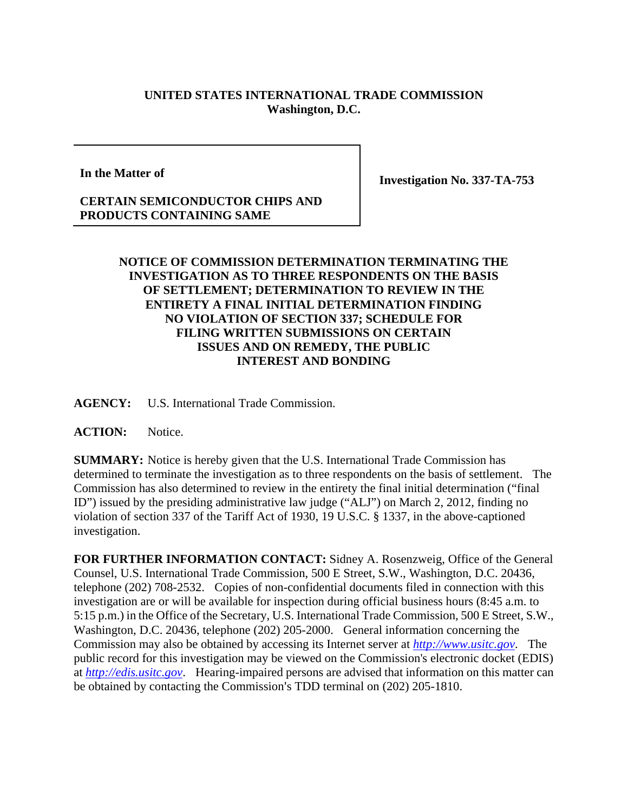## **UNITED STATES INTERNATIONAL TRADE COMMISSION Washington, D.C.**

**In the Matter of** 

**Investigation No. 337-TA-753** 

## **CERTAIN SEMICONDUCTOR CHIPS AND PRODUCTS CONTAINING SAME**

## **NOTICE OF COMMISSION DETERMINATION TERMINATING THE INVESTIGATION AS TO THREE RESPONDENTS ON THE BASIS OF SETTLEMENT; DETERMINATION TO REVIEW IN THE ENTIRETY A FINAL INITIAL DETERMINATION FINDING NO VIOLATION OF SECTION 337; SCHEDULE FOR FILING WRITTEN SUBMISSIONS ON CERTAIN ISSUES AND ON REMEDY, THE PUBLIC INTEREST AND BONDING**

**AGENCY:** U.S. International Trade Commission.

**ACTION:** Notice.

**SUMMARY:** Notice is hereby given that the U.S. International Trade Commission has determined to terminate the investigation as to three respondents on the basis of settlement. The Commission has also determined to review in the entirety the final initial determination ("final ID") issued by the presiding administrative law judge ("ALJ") on March 2, 2012, finding no violation of section 337 of the Tariff Act of 1930, 19 U.S.C. § 1337, in the above-captioned investigation.

**FOR FURTHER INFORMATION CONTACT:** Sidney A. Rosenzweig, Office of the General Counsel, U.S. International Trade Commission, 500 E Street, S.W., Washington, D.C. 20436, telephone (202) 708-2532. Copies of non-confidential documents filed in connection with this investigation are or will be available for inspection during official business hours (8:45 a.m. to 5:15 p.m.) in the Office of the Secretary, U.S. International Trade Commission, 500 E Street, S.W., Washington, D.C. 20436, telephone (202) 205-2000. General information concerning the Commission may also be obtained by accessing its Internet server at *http://www.usitc.gov*. The public record for this investigation may be viewed on the Commission's electronic docket (EDIS) at *http://edis.usitc.gov*. Hearing-impaired persons are advised that information on this matter can be obtained by contacting the Commission's TDD terminal on (202) 205-1810.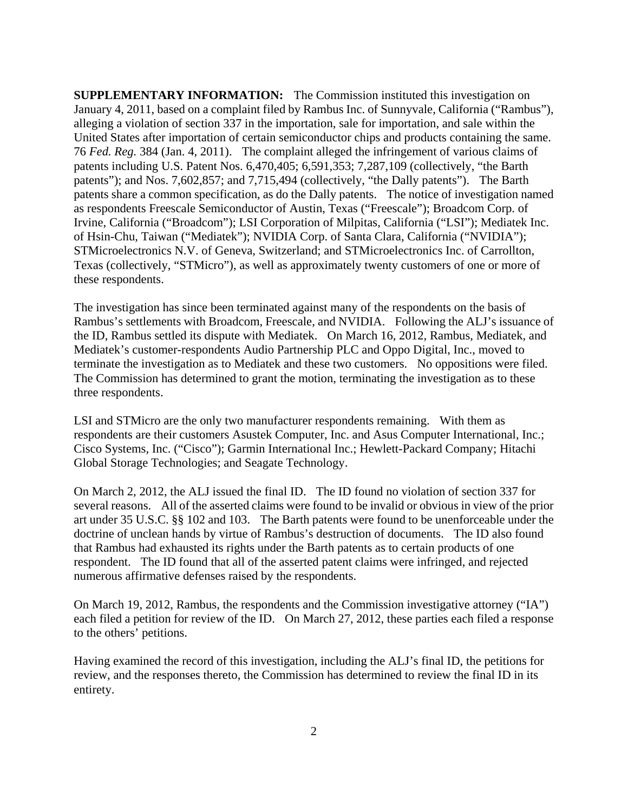**SUPPLEMENTARY INFORMATION:** The Commission instituted this investigation on January 4, 2011, based on a complaint filed by Rambus Inc. of Sunnyvale, California ("Rambus"), alleging a violation of section 337 in the importation, sale for importation, and sale within the United States after importation of certain semiconductor chips and products containing the same. 76 *Fed. Reg.* 384 (Jan. 4, 2011). The complaint alleged the infringement of various claims of patents including U.S. Patent Nos. 6,470,405; 6,591,353; 7,287,109 (collectively, "the Barth patents"); and Nos. 7,602,857; and 7,715,494 (collectively, "the Dally patents"). The Barth patents share a common specification, as do the Dally patents. The notice of investigation named as respondents Freescale Semiconductor of Austin, Texas ("Freescale"); Broadcom Corp. of Irvine, California ("Broadcom"); LSI Corporation of Milpitas, California ("LSI"); Mediatek Inc. of Hsin-Chu, Taiwan ("Mediatek"); NVIDIA Corp. of Santa Clara, California ("NVIDIA"); STMicroelectronics N.V. of Geneva, Switzerland; and STMicroelectronics Inc. of Carrollton, Texas (collectively, "STMicro"), as well as approximately twenty customers of one or more of these respondents.

The investigation has since been terminated against many of the respondents on the basis of Rambus's settlements with Broadcom, Freescale, and NVIDIA. Following the ALJ's issuance of the ID, Rambus settled its dispute with Mediatek. On March 16, 2012, Rambus, Mediatek, and Mediatek's customer-respondents Audio Partnership PLC and Oppo Digital, Inc., moved to terminate the investigation as to Mediatek and these two customers. No oppositions were filed. The Commission has determined to grant the motion, terminating the investigation as to these three respondents.

LSI and STMicro are the only two manufacturer respondents remaining. With them as respondents are their customers Asustek Computer, Inc. and Asus Computer International, Inc.; Cisco Systems, Inc. ("Cisco"); Garmin International Inc.; Hewlett-Packard Company; Hitachi Global Storage Technologies; and Seagate Technology.

On March 2, 2012, the ALJ issued the final ID. The ID found no violation of section 337 for several reasons. All of the asserted claims were found to be invalid or obvious in view of the prior art under 35 U.S.C. §§ 102 and 103. The Barth patents were found to be unenforceable under the doctrine of unclean hands by virtue of Rambus's destruction of documents. The ID also found that Rambus had exhausted its rights under the Barth patents as to certain products of one respondent. The ID found that all of the asserted patent claims were infringed, and rejected numerous affirmative defenses raised by the respondents.

On March 19, 2012, Rambus, the respondents and the Commission investigative attorney ("IA") each filed a petition for review of the ID. On March 27, 2012, these parties each filed a response to the others' petitions.

Having examined the record of this investigation, including the ALJ's final ID, the petitions for review, and the responses thereto, the Commission has determined to review the final ID in its entirety.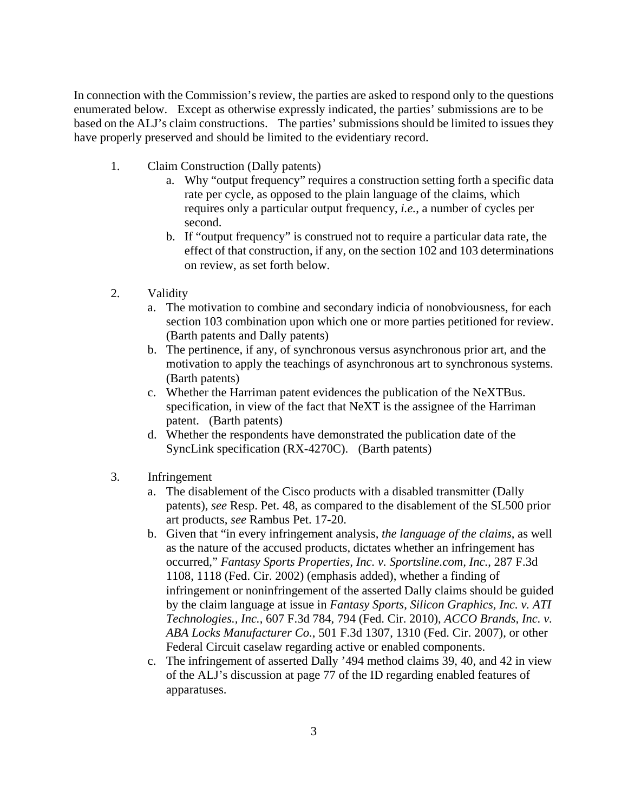In connection with the Commission's review, the parties are asked to respond only to the questions enumerated below. Except as otherwise expressly indicated, the parties' submissions are to be based on the ALJ's claim constructions. The parties' submissions should be limited to issues they have properly preserved and should be limited to the evidentiary record.

- 1. Claim Construction (Dally patents)
	- a. Why "output frequency" requires a construction setting forth a specific data rate per cycle, as opposed to the plain language of the claims, which requires only a particular output frequency, *i.e.*, a number of cycles per second.
	- b. If "output frequency" is construed not to require a particular data rate, the effect of that construction, if any, on the section 102 and 103 determinations on review, as set forth below.
- 2. Validity
	- a. The motivation to combine and secondary indicia of nonobviousness, for each section 103 combination upon which one or more parties petitioned for review. (Barth patents and Dally patents)
	- b. The pertinence, if any, of synchronous versus asynchronous prior art, and the motivation to apply the teachings of asynchronous art to synchronous systems. (Barth patents)
	- c. Whether the Harriman patent evidences the publication of the NeXTBus. specification, in view of the fact that NeXT is the assignee of the Harriman patent. (Barth patents)
	- d. Whether the respondents have demonstrated the publication date of the SyncLink specification (RX-4270C). (Barth patents)
- 3. Infringement
	- a. The disablement of the Cisco products with a disabled transmitter (Dally patents), *see* Resp. Pet. 48, as compared to the disablement of the SL500 prior art products, *see* Rambus Pet. 17-20.
	- b. Given that "in every infringement analysis, *the language of the claims*, as well as the nature of the accused products, dictates whether an infringement has occurred," *Fantasy Sports Properties, Inc. v. Sportsline.com, Inc.*, 287 F.3d 1108, 1118 (Fed. Cir. 2002) (emphasis added), whether a finding of infringement or noninfringement of the asserted Dally claims should be guided by the claim language at issue in *Fantasy Sports*, *Silicon Graphics, Inc. v. ATI Technologies., Inc.*, 607 F.3d 784, 794 (Fed. Cir. 2010), *ACCO Brands, Inc. v. ABA Locks Manufacturer Co.*, 501 F.3d 1307, 1310 (Fed. Cir. 2007), or other Federal Circuit caselaw regarding active or enabled components.
	- c. The infringement of asserted Dally '494 method claims 39, 40, and 42 in view of the ALJ's discussion at page 77 of the ID regarding enabled features of apparatuses.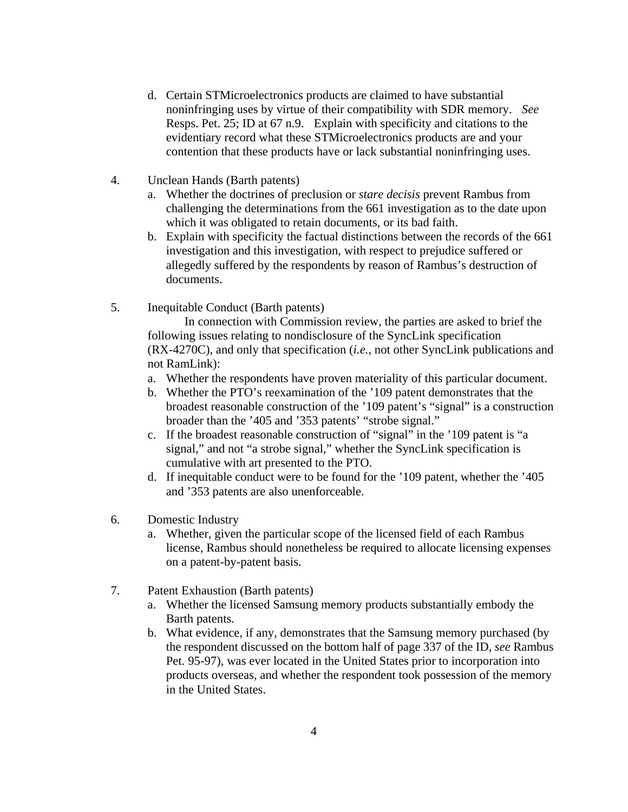- d. Certain STMicroelectronics products are claimed to have substantial noninfringing uses by virtue of their compatibility with SDR memory. *See*  Resps. Pet. 25; ID at 67 n.9. Explain with specificity and citations to the evidentiary record what these STMicroelectronics products are and your contention that these products have or lack substantial noninfringing uses.
- 4. Unclean Hands (Barth patents)
	- a. Whether the doctrines of preclusion or *stare decisis* prevent Rambus from challenging the determinations from the 661 investigation as to the date upon which it was obligated to retain documents, or its bad faith.
	- b. Explain with specificity the factual distinctions between the records of the 661 investigation and this investigation, with respect to prejudice suffered or allegedly suffered by the respondents by reason of Rambus's destruction of documents.
- 5. Inequitable Conduct (Barth patents)

 In connection with Commission review, the parties are asked to brief the following issues relating to nondisclosure of the SyncLink specification (RX-4270C), and only that specification (*i.e.*, not other SyncLink publications and not RamLink):

- a. Whether the respondents have proven materiality of this particular document.
- b. Whether the PTO's reexamination of the '109 patent demonstrates that the broadest reasonable construction of the '109 patent's "signal" is a construction broader than the '405 and '353 patents' "strobe signal."
- c. If the broadest reasonable construction of "signal" in the '109 patent is "a signal," and not "a strobe signal," whether the SyncLink specification is cumulative with art presented to the PTO.
- d. If inequitable conduct were to be found for the '109 patent, whether the '405 and '353 patents are also unenforceable.
- 6. Domestic Industry
	- a. Whether, given the particular scope of the licensed field of each Rambus license, Rambus should nonetheless be required to allocate licensing expenses on a patent-by-patent basis.
- 7. Patent Exhaustion (Barth patents)
	- a. Whether the licensed Samsung memory products substantially embody the Barth patents.
	- b. What evidence, if any, demonstrates that the Samsung memory purchased (by the respondent discussed on the bottom half of page 337 of the ID, *see* Rambus Pet. 95-97), was ever located in the United States prior to incorporation into products overseas, and whether the respondent took possession of the memory in the United States.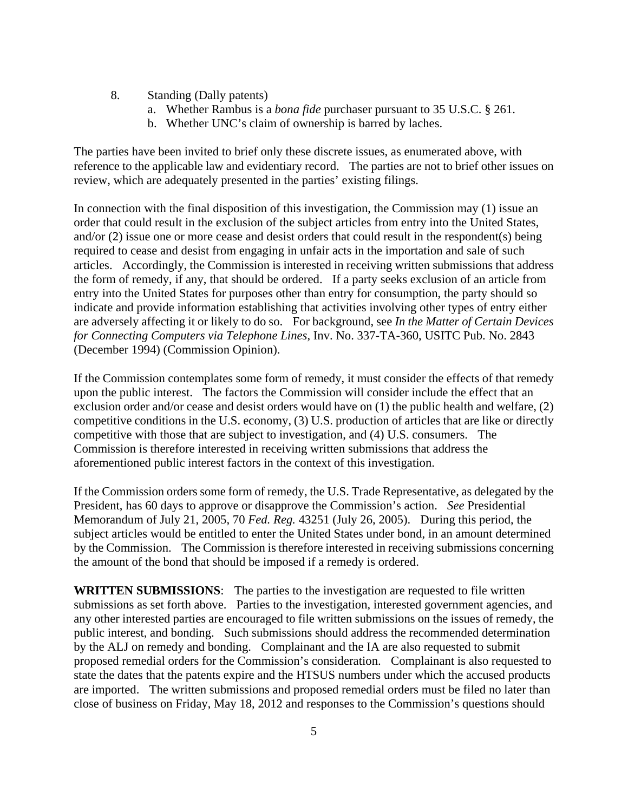- 8. Standing (Dally patents)
	- a. Whether Rambus is a *bona fide* purchaser pursuant to 35 U.S.C. § 261.
	- b. Whether UNC's claim of ownership is barred by laches.

The parties have been invited to brief only these discrete issues, as enumerated above, with reference to the applicable law and evidentiary record. The parties are not to brief other issues on review, which are adequately presented in the parties' existing filings.

In connection with the final disposition of this investigation, the Commission may (1) issue an order that could result in the exclusion of the subject articles from entry into the United States, and/or (2) issue one or more cease and desist orders that could result in the respondent(s) being required to cease and desist from engaging in unfair acts in the importation and sale of such articles. Accordingly, the Commission is interested in receiving written submissions that address the form of remedy, if any, that should be ordered. If a party seeks exclusion of an article from entry into the United States for purposes other than entry for consumption, the party should so indicate and provide information establishing that activities involving other types of entry either are adversely affecting it or likely to do so. For background, see *In the Matter of Certain Devices for Connecting Computers via Telephone Lines*, Inv. No. 337-TA-360, USITC Pub. No. 2843 (December 1994) (Commission Opinion).

If the Commission contemplates some form of remedy, it must consider the effects of that remedy upon the public interest. The factors the Commission will consider include the effect that an exclusion order and/or cease and desist orders would have on (1) the public health and welfare, (2) competitive conditions in the U.S. economy, (3) U.S. production of articles that are like or directly competitive with those that are subject to investigation, and (4) U.S. consumers. The Commission is therefore interested in receiving written submissions that address the aforementioned public interest factors in the context of this investigation.

If the Commission orders some form of remedy, the U.S. Trade Representative, as delegated by the President, has 60 days to approve or disapprove the Commission's action. *See* Presidential Memorandum of July 21, 2005, 70 *Fed. Reg.* 43251 (July 26, 2005). During this period, the subject articles would be entitled to enter the United States under bond, in an amount determined by the Commission. The Commission is therefore interested in receiving submissions concerning the amount of the bond that should be imposed if a remedy is ordered.

**WRITTEN SUBMISSIONS**:The parties to the investigation are requested to file written submissions as set forth above. Parties to the investigation, interested government agencies, and any other interested parties are encouraged to file written submissions on the issues of remedy, the public interest, and bonding. Such submissions should address the recommended determination by the ALJ on remedy and bonding. Complainant and the IA are also requested to submit proposed remedial orders for the Commission's consideration. Complainant is also requested to state the dates that the patents expire and the HTSUS numbers under which the accused products are imported. The written submissions and proposed remedial orders must be filed no later than close of business on Friday, May 18, 2012 and responses to the Commission's questions should